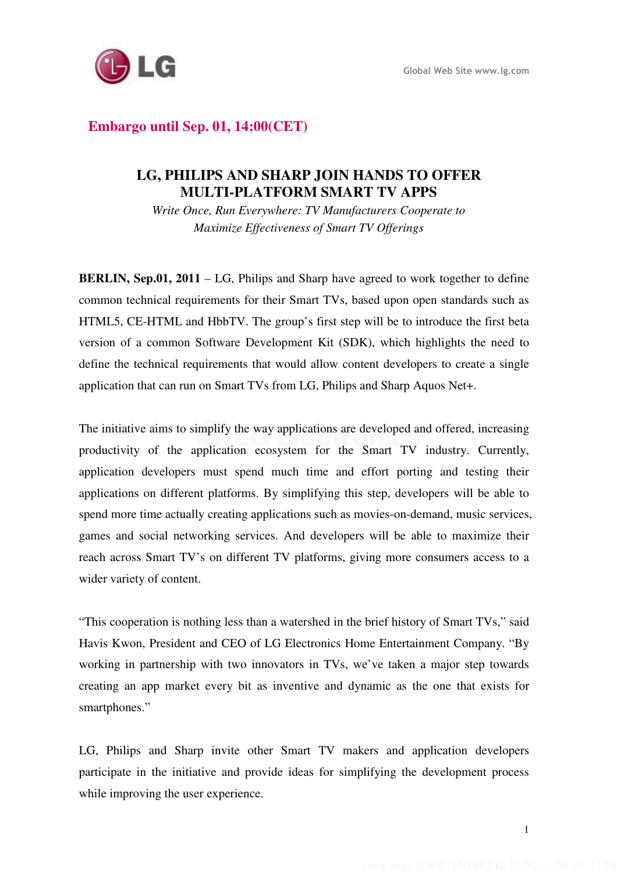

# **Embargo until Sep. 01, 14:00(CET)**

## **LG, PHILIPS AND SHARP JOIN HANDS TO OFFER MULTI-PLATFORM SMART TV APPS**

*Write Once, Run Everywhere: TV Manufacturers Cooperate to Maximize Effectiveness of Smart TV Offerings* 

**BERLIN, Sep.01, 2011** – LG, Philips and Sharp have agreed to work together to define common technical requirements for their Smart TVs, based upon open standards such as HTML5, CE-HTML and HbbTV. The group's first step will be to introduce the first beta version of a common Software Development Kit (SDK), which highlights the need to define the technical requirements that would allow content developers to create a single application that can run on Smart TVs from LG, Philips and Sharp Aquos Net+.

The initiative aims to simplify the way applications are developed and offered, increasing productivity of the application ecosystem for the Smart TV industry. Currently, application developers must spend much time and effort porting and testing their applications on different platforms. By simplifying this step, developers will be able to spend more time actually creating applications such as movies-on-demand, music services, games and social networking services. And developers will be able to maximize their reach across Smart TV's on different TV platforms, giving more consumers access to a wider variety of content.

"This cooperation is nothing less than a watershed in the brief history of Smart TVs," said Havis Kwon, President and CEO of LG Electronics Home Entertainment Company. "By working in partnership with two innovators in TVs, we've taken a major step towards creating an app market every bit as inventive and dynamic as the one that exists for smartphones."

LG, Philips and Sharp invite other Smart TV makers and application developers participate in the initiative and provide ideas for simplifying the development process while improving the user experience.